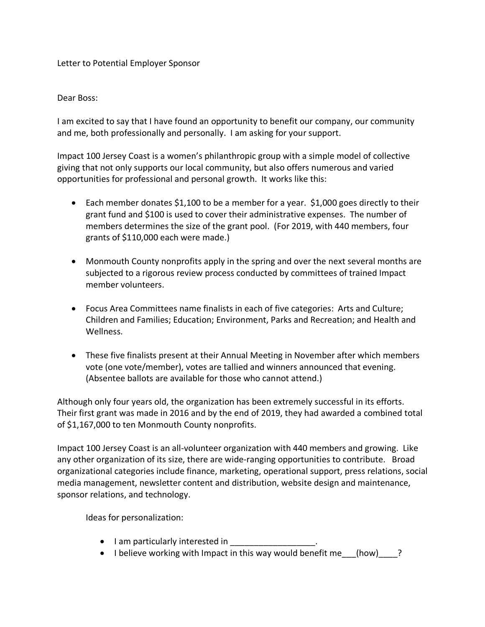## Letter to Potential Employer Sponsor

## Dear Boss:

I am excited to say that I have found an opportunity to benefit our company, our community and me, both professionally and personally. I am asking for your support.

Impact 100 Jersey Coast is a women's philanthropic group with a simple model of collective giving that not only supports our local community, but also offers numerous and varied opportunities for professional and personal growth. It works like this:

- Each member donates \$1,100 to be a member for a year. \$1,000 goes directly to their grant fund and \$100 is used to cover their administrative expenses. The number of members determines the size of the grant pool. (For 2019, with 440 members, four grants of \$110,000 each were made.)
- Monmouth County nonprofits apply in the spring and over the next several months are subjected to a rigorous review process conducted by committees of trained Impact member volunteers.
- Focus Area Committees name finalists in each of five categories: Arts and Culture; Children and Families; Education; Environment, Parks and Recreation; and Health and Wellness.
- These five finalists present at their Annual Meeting in November after which members vote (one vote/member), votes are tallied and winners announced that evening. (Absentee ballots are available for those who cannot attend.)

Although only four years old, the organization has been extremely successful in its efforts. Their first grant was made in 2016 and by the end of 2019, they had awarded a combined total of \$1,167,000 to ten Monmouth County nonprofits.

Impact 100 Jersey Coast is an all-volunteer organization with 440 members and growing. Like any other organization of its size, there are wide-ranging opportunities to contribute. Broad organizational categories include finance, marketing, operational support, press relations, social media management, newsletter content and distribution, website design and maintenance, sponsor relations, and technology.

Ideas for personalization:

- I am particularly interested in
- I believe working with Impact in this way would benefit me (how) ?